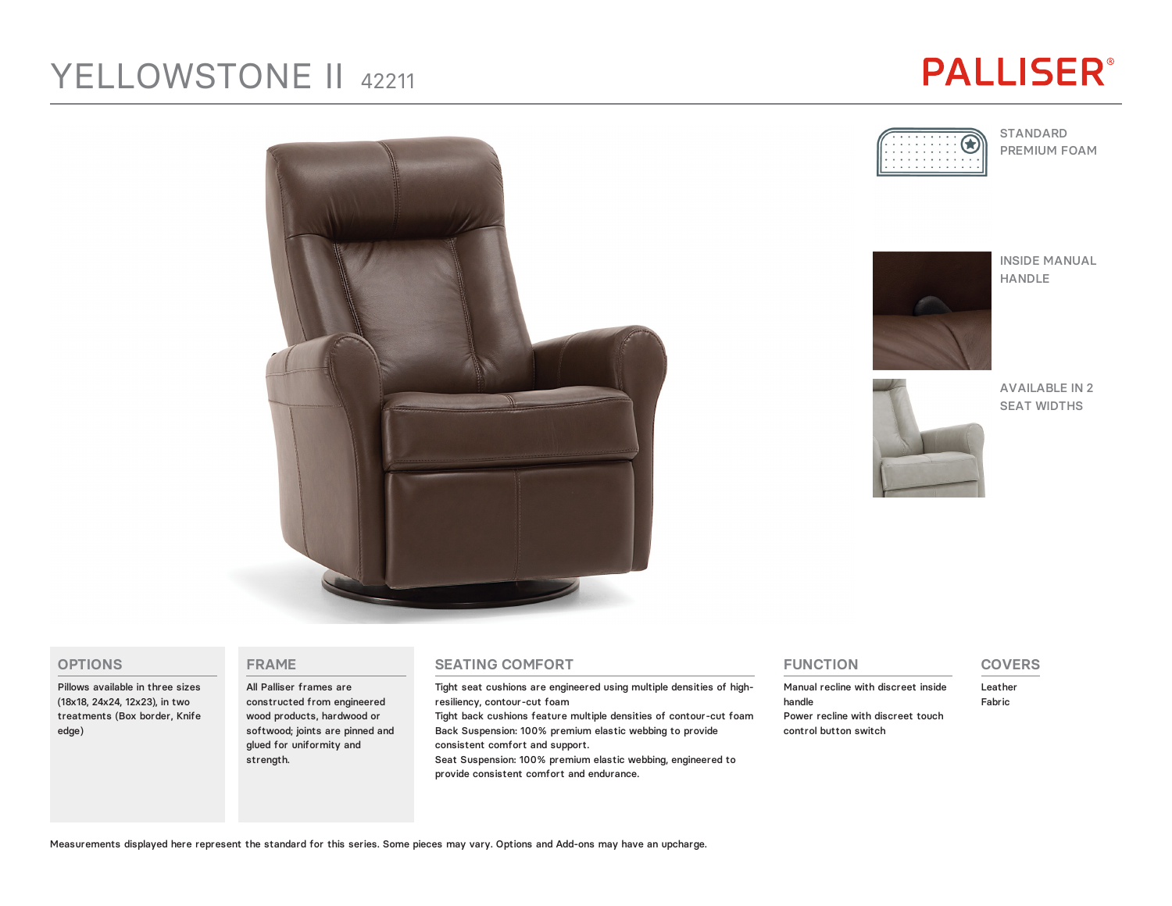# YELLOWSTONE II 42211

# **PALLISER®**



STANDARD PREMIUM FOAM



INSIDE MANUAL HANDLE



AVAILABLE IN 2 SEAT WIDTHS



### **OPTIONS**

Pillows available in three sizes (18x18, 24x24, 12x23), in two treatments (Box border, Knife edge)

#### **FRAME**

All Palliser frames are constructed from engineered wood products, hardwood or softwood; joints are pinned and glued for uniformity and strength.

#### **SEATING COMFORT**

Tight seat cushions are engineered using multiple densities of highresiliency, contour-cut foam

Tight back cushions feature multiple densities of contour-cut foam Back Suspension: 100% premium elastic webbing to provide consistent comfort and support.

Seat Suspension: 100% premium elastic webbing, engineered to provide consistent comfort and endurance.

### **FUNCTION**

Manual recline with discreet inside handle Power recline with discreet touch control button switch

## **COVERS**

Leather Fabric

Measurements displayed here represent the standard for this series. Some pieces may vary. Options and Add-ons may have an upcharge.